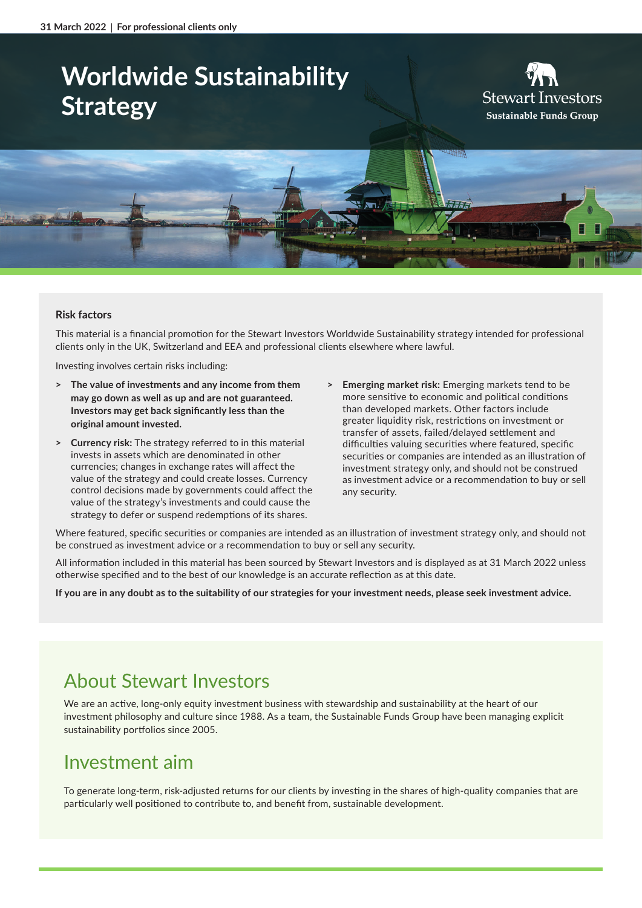# **Worldwide Sustainability Strategy**





#### **Risk factors**

This material is a financial promotion for the Stewart Investors Worldwide Sustainability strategy intended for professional clients only in the UK, Switzerland and EEA and professional clients elsewhere where lawful.

Investing involves certain risks including:

- **> The value of investments and any income from them may go down as well as up and are not guaranteed. Investors may get back significantly less than the original amount invested.**
- **> Currency risk:** The strategy referred to in this material invests in assets which are denominated in other currencies; changes in exchange rates will affect the value of the strategy and could create losses. Currency control decisions made by governments could affect the value of the strategy's investments and could cause the strategy to defer or suspend redemptions of its shares.
- **> Emerging market risk:** Emerging markets tend to be more sensitive to economic and political conditions than developed markets. Other factors include greater liquidity risk, restrictions on investment or transfer of assets, failed/delayed settlement and difficulties valuing securities where featured, specific securities or companies are intended as an illustration of investment strategy only, and should not be construed as investment advice or a recommendation to buy or sell any security.

Where featured, specific securities or companies are intended as an illustration of investment strategy only, and should not be construed as investment advice or a recommendation to buy or sell any security.

All information included in this material has been sourced by Stewart Investors and is displayed as at 31 March 2022 unless otherwise specified and to the best of our knowledge is an accurate reflection as at this date.

**If you are in any doubt as to the suitability of our strategies for your investment needs, please seek investment advice.**

# About Stewart Investors

We are an active, long-only equity investment business with stewardship and sustainability at the heart of our investment philosophy and culture since 1988. As a team, the Sustainable Funds Group have been managing explicit sustainability portfolios since 2005.

### Investment aim

To generate long-term, risk-adjusted returns for our clients by investing in the shares of high-quality companies that are particularly well positioned to contribute to, and benefit from, sustainable development.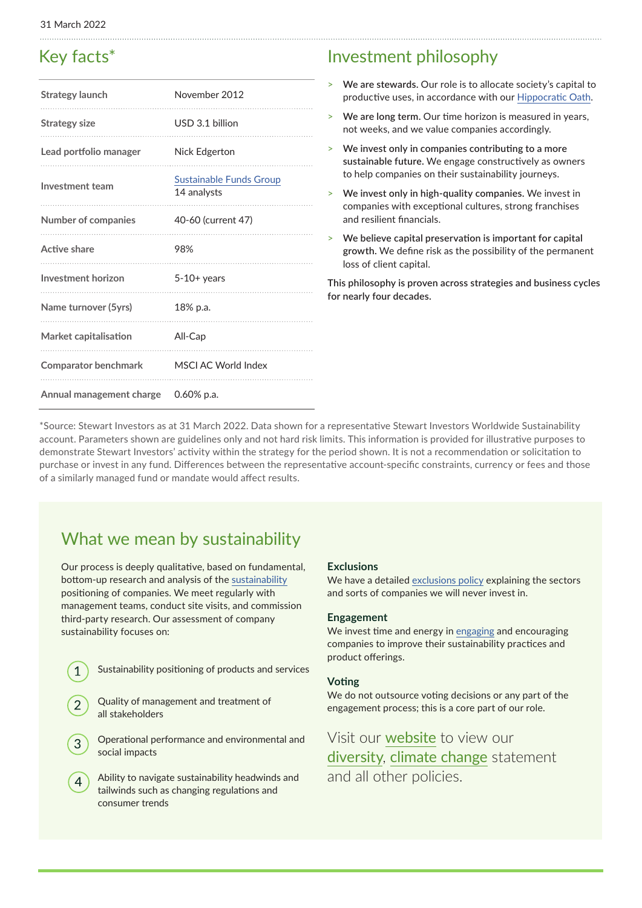## Key facts\*

| Strategy launch             | November 2012                                 |
|-----------------------------|-----------------------------------------------|
| <b>Strategy size</b>        | USD 3.1 billion                               |
| Lead portfolio manager      | Nick Edgerton                                 |
| Investment team             | <b>Sustainable Funds Group</b><br>14 analysts |
| <b>Number of companies</b>  | 40-60 (current 47)                            |
| Active share                | 98%                                           |
| Investment horizon          | $5-10+$ years                                 |
| Name turnover (5yrs)        | 18% p.a.                                      |
| Market capitalisation       | All-Cap                                       |
| <b>Comparator benchmark</b> | MSCI AC World Index                           |
| Annual management charge    | $0.60\%$ p.a.                                 |

### Investment philosophy

- > **We are stewards.** Our role is to allocate society's capital to productive uses, in accordance with our [Hippocratic Oath](https://www.stewartinvestors.com/all/about-us/our-hippocratic-oath.html).
- > **We are long term.** Our time horizon is measured in years, not weeks, and we value companies accordingly.
- > **We invest only in companies contributing to a more sustainable future.** We engage constructively as owners to help companies on their sustainability journeys.
- > **We invest only in high-quality companies.** We invest in companies with exceptional cultures, strong franchises and resilient financials.
- > **We believe capital preservation is important for capital growth.** We define risk as the possibility of the permanent loss of client capital.

**This philosophy is proven across strategies and business cycles for nearly four decades.**

\*Source: Stewart Investors as at 31 March 2022. Data shown for a representative Stewart Investors Worldwide Sustainability account. Parameters shown are guidelines only and not hard risk limits. This information is provided for illustrative purposes to demonstrate Stewart Investors' activity within the strategy for the period shown. It is not a recommendation or solicitation to purchase or invest in any fund. Differences between the representative account-specific constraints, currency or fees and those of a similarly managed fund or mandate would affect results.

# What we mean by sustainability

Our process is deeply qualitative, based on fundamental, bottom-up research and analysis of the [sustainability](https://www.stewartinvestors.com/all/sustainable-funds-group/how-we-invest/our-approach.html) positioning of companies. We meet regularly with management teams, conduct site visits, and commission third-party research. Our assessment of company sustainability focuses on:

Sustainability positioning of products and services

 $\mathbf 1$ 

- Quality of management and treatment of all stakeholders
- Operational performance and environmental and social impacts
- Ability to navigate sustainability headwinds and  $\overline{4}$ tailwinds such as changing regulations and consumer trends

#### **Exclusions**

We have a detailed [exclusions policy](https://www.stewartinvestors.com/all/insights/sfg/our-position-on-harmful-and-controversial-products-and-services.html) explaining the sectors and sorts of companies we will never invest in.

#### **Engagement**

We invest time and energy in [engaging](https://www.stewartinvestors.com/all/sustainable-funds-group/how-we-invest/engagement.html) and encouraging companies to improve their sustainability practices and product offerings.

#### **Voting**

We do not outsource voting decisions or any part of the engagement process; this is a core part of our role.

Visit our [website](https://www.stewartinvestors.com/all/sustainable-funds-group/our-policies.html) to view our [diversity](https://www.stewartinvestors.com/all/insights/sfg/statement-on-racism-and-racial-diversity.html), [climate change](https://www.stewartinvestors.com/all/insights/sfg/climate-change-statement.html) statement and all other policies.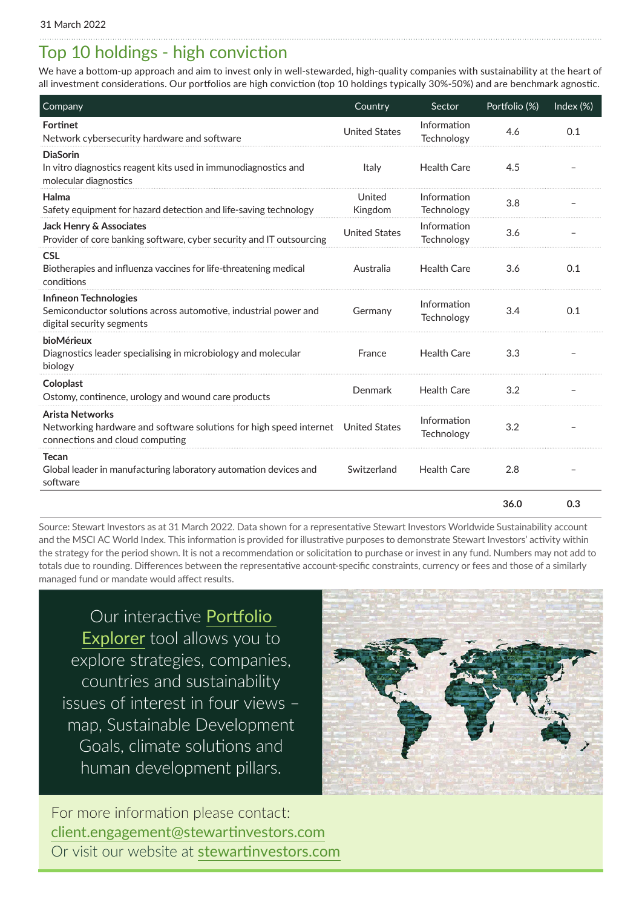# Top 10 holdings - high conviction

We have a bottom-up approach and aim to invest only in well-stewarded, high-quality companies with sustainability at the heart of all investment considerations. Our portfolios are high conviction (top 10 holdings typically 30%-50%) and are benchmark agnostic.

| Company                                                                                                                                       | Country              | Sector                    | Portfolio (%) | Index (%) |
|-----------------------------------------------------------------------------------------------------------------------------------------------|----------------------|---------------------------|---------------|-----------|
| Fortinet<br>Network cybersecurity hardware and software                                                                                       | <b>United States</b> | Information<br>Technology | 4.6           | 0.1       |
| <b>DiaSorin</b><br>In vitro diagnostics reagent kits used in immunodiagnostics and<br>molecular diagnostics                                   | Italy                | <b>Health Care</b>        | 4.5           |           |
| Halma<br>Safety equipment for hazard detection and life-saving technology                                                                     | United<br>Kingdom    | Information<br>Technology | 3.8           |           |
| <b>Jack Henry &amp; Associates</b><br>Provider of core banking software, cyber security and IT outsourcing                                    | <b>United States</b> | Information<br>Technology | 3.6           |           |
| <b>CSL</b><br>Biotherapies and influenza vaccines for life-threatening medical<br>conditions                                                  | Australia            | <b>Health Care</b>        | 3.6           | 0.1       |
| Infineon Technologies<br>Semiconductor solutions across automotive, industrial power and<br>digital security segments                         | Germany              | Information<br>Technology | 3.4           | 0.1       |
| bioMérieux<br>Diagnostics leader specialising in microbiology and molecular<br>biology                                                        | France               | <b>Health Care</b>        | 3.3           |           |
| Coloplast<br>Ostomy, continence, urology and wound care products                                                                              | <b>Denmark</b>       | <b>Health Care</b>        | 3.2           |           |
| <b>Arista Networks</b><br>Networking hardware and software solutions for high speed internet United States<br>connections and cloud computing |                      | Information<br>Technology | 3.2           |           |
| <b>Tecan</b><br>Global leader in manufacturing laboratory automation devices and<br>software                                                  | Switzerland          | <b>Health Care</b>        | 2.8           |           |
|                                                                                                                                               |                      |                           | 36.0          | 0.3       |

Source: Stewart Investors as at 31 March 2022. Data shown for a representative Stewart Investors Worldwide Sustainability account and the MSCI AC World Index. This information is provided for illustrative purposes to demonstrate Stewart Investors' activity within the strategy for the period shown. It is not a recommendation or solicitation to purchase or invest in any fund. Numbers may not add to totals due to rounding. Differences between the representative account-specific constraints, currency or fees and those of a similarly managed fund or mandate would affect results.

Our interactive [Portfolio](https://www.stewartinvestors.com/all/sustainable-funds-group/introducing-portfolio-explorer/portfolio-explorer.html)  [Explorer](https://www.stewartinvestors.com/all/sustainable-funds-group/introducing-portfolio-explorer/portfolio-explorer.html) tool allows you to explore strategies, companies, countries and sustainability issues of interest in four views – map, Sustainable Development Goals, climate solutions and human development pillars.



For more information please contact: [client.engagement@stewartinvestors.com](mailto:client.engagement%40stewartinvestors.com?subject=) Or visit our website at [stewartinvestors.com](https://www.stewartinvestors.com/eea/en/professional/sustainable-funds-group/quarterly-update/worldwide-sustainability.html)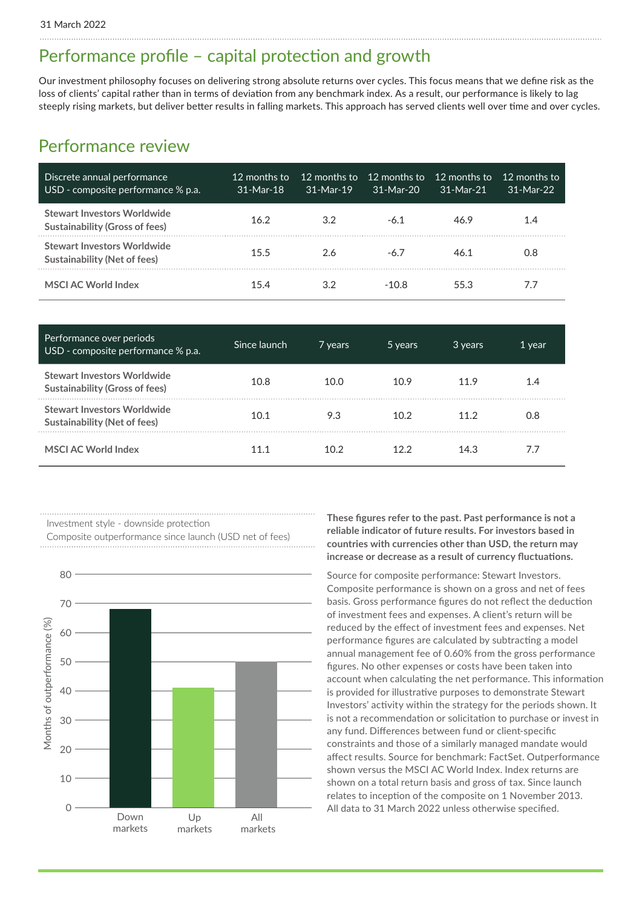### Performance profile – capital protection and growth

Our investment philosophy focuses on delivering strong absolute returns over cycles. This focus means that we define risk as the loss of clients' capital rather than in terms of deviation from any benchmark index. As a result, our performance is likely to lag steeply rising markets, but deliver better results in falling markets. This approach has served clients well over time and over cycles.

### Performance review

| Discrete annual performance<br>USD - composite performance % p.a.    | 12 months to<br>. 31-Mar-18 | $31-Mar-19$ | 12 months to 12 months to<br>$31-Mar-20$ | - 12 months to<br>$31-Mar-21$ | $12$ months to<br>$31-Mar-22$ |
|----------------------------------------------------------------------|-----------------------------|-------------|------------------------------------------|-------------------------------|-------------------------------|
| Stewart Investors Worldwide<br><b>Sustainability (Gross of fees)</b> | 16.2 <sup>2</sup>           | 3.2         | $-6.1$                                   | 46.9                          | 1.4                           |
| <b>Stewart Investors Worldwide</b><br>Sustainability (Net of fees)   | 15.5                        | 2.6         | $-6.7$                                   | 46.1                          | 0.8                           |
| <b>MSCI AC World Index</b>                                           | 154                         | 32          | -10.8                                    | 55.3                          | 7.7                           |

| Performance over periods<br>USD - composite performance % p.a.            | Since launch ' | 7 years | 5 years           | 3 years | 1 year |
|---------------------------------------------------------------------------|----------------|---------|-------------------|---------|--------|
| <b>Stewart Investors Worldwide</b><br>Sustainability (Gross of fees)      | 10.8           | 10.0    | 10.9              | 11.9    | 1.4    |
| <b>Stewart Investors Worldwide</b><br><b>Sustainability (Net of fees)</b> | 10.1           | 9.3     | 10.2 <sup>2</sup> | 11.2    | 0.8    |
| MSCI AC World Index                                                       |                | 10 2    |                   | 14.3    |        |

Investment style - downside protection

Composite outperformance since launch (USD net of fees)



**These figures refer to the past. Past performance is not a reliable indicator of future results. For investors based in countries with currencies other than USD, the return may increase or decrease as a result of currency fluctuations.** 

Source for composite performance: Stewart Investors. Composite performance is shown on a gross and net of fees basis. Gross performance figures do not reflect the deduction of investment fees and expenses. A client's return will be reduced by the effect of investment fees and expenses. Net performance figures are calculated by subtracting a model annual management fee of 0.60% from the gross performance figures. No other expenses or costs have been taken into account when calculating the net performance. This information is provided for illustrative purposes to demonstrate Stewart Investors' activity within the strategy for the periods shown. It is not a recommendation or solicitation to purchase or invest in any fund. Differences between fund or client-specific constraints and those of a similarly managed mandate would affect results. Source for benchmark: FactSet. Outperformance shown versus the MSCI AC World Index. Index returns are shown on a total return basis and gross of tax. Since launch relates to inception of the composite on 1 November 2013. All data to 31 March 2022 unless otherwise specified.